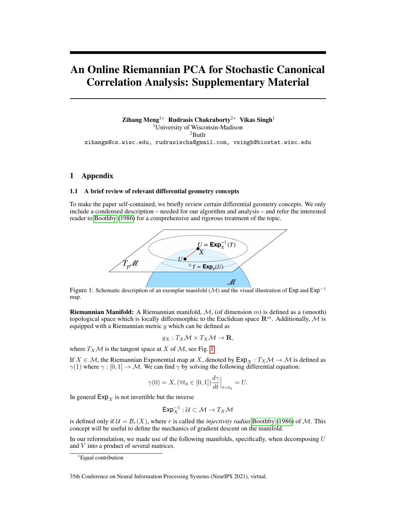# An Online Riemannian PCA for Stochastic Canonical Correlation Analysis: Supplementary Material

Zihang Meng1<sup>∗</sup> Rudrasis Chakraborty2<sup>∗</sup> Vikas Singh<sup>1</sup> <sup>1</sup>University of Wisconsin-Madison <sup>2</sup>Butlr zihangm@cs.wisc.edu, rudrasischa@gmail.com, vsingh@biostat.wisc.edu

# 1 Appendix

# 1.1 A brief review of relevant differential geometry concepts

<span id="page-0-0"></span>To make the paper self-contained, we briefly review certain differential geometry concepts. We only include a condensed description – needed for our algorithm and analysis – and refer the interested reader to [Boothby](#page-6-0) [\(1986\)](#page-6-0) for a comprehensive and rigorous treatment of the topic.



Figure 1: Schematic description of an exemplar manifold (M) and the visual illustration of Exp and Exp<sup>−</sup><sup>1</sup> map.

**Riemannian Manifold:** A Riemannian manifold,  $M$ , (of dimension m) is defined as a (smooth) topological space which is locally diffeomorphic to the Euclidean space  $\mathbb{R}^m$ . Additionally, M is equipped with a Riemannian metric  $g$  which can be defined as

$$
g_X: T_X\mathcal{M} \times T_X\mathcal{M} \to \mathbf{R},
$$

where  $T_X\mathcal{M}$  is the tangent space at X of  $\mathcal{M}$ , see Fig. [1.](#page-0-0)

If  $X \in \mathcal{M}$ , the Riemannian Exponential map at X, denoted by  $Exp_X : T_X \mathcal{M} \to \mathcal{M}$  is defined as  $\gamma(1)$  where  $\gamma : [0, 1] \to M$ . We can find  $\gamma$  by solving the following differential equation:

$$
\gamma(0) = X, (\forall t_0 \in [0, 1]) \frac{d\gamma}{dt} \Big|_{t=t_0} = U.
$$

In general  $Exp<sub>x</sub>$  is not invertible but the inverse

$$
\mathsf{Exp}_X^{-1} : \mathcal{U} \subset \mathcal{M} \to T_X \mathcal{M}
$$

is defined only if  $\mathcal{U} = \mathcal{B}_r(X)$ , where r is called the *injectivity radius* [Boothby](#page-6-0) [\(1986\)](#page-6-0) of M. This concept will be useful to define the mechanics of gradient descent on the manifold.

In our reformulation, we made use of the following manifolds, specifically, when decomposing  $U$ and V into a product of several matrices.

<sup>∗</sup>Equal contribution

<sup>35</sup>th Conference on Neural Information Processing Systems (NeurIPS 2021), virtual.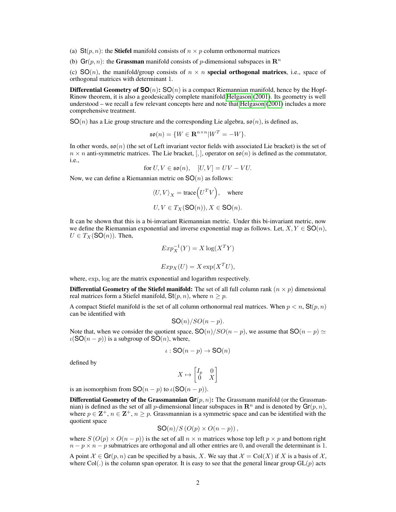(a)  $\text{St}(p, n)$ : the **Stiefel** manifold consists of  $n \times p$  column orthonormal matrices

(b) Gr(p, n): the Grassman manifold consists of p-dimensional subspaces in  $\mathbb{R}^n$ 

(c)  $SO(n)$ , the manifold/group consists of  $n \times n$  special orthogonal matrices, i.e., space of orthogonal matrices with determinant 1.

**Differential Geometry of**  $SO(n)$ **:**  $SO(n)$  is a compact Riemannian manifold, hence by the Hopf-Rinow theorem, it is also a geodesically complete manifold [Helgason](#page-6-1) [\(2001\)](#page-6-1). Its geometry is well understood – we recall a few relevant concepts here and note that [Helgason](#page-6-1) [\(2001\)](#page-6-1) includes a more comprehensive treatment.

 $SO(n)$  has a Lie group structure and the corresponding Lie algebra,  $\mathfrak{so}(n)$ , is defined as,

$$
\mathfrak{so}(n) = \{ W \in \mathbf{R}^{n \times n} | W^T = -W \}.
$$

In other words,  $\mathfrak{so}(n)$  (the set of Left invariant vector fields with associated Lie bracket) is the set of  $n \times n$  anti-symmetric matrices. The Lie bracket, [,], operator on  $\mathfrak{so}(n)$  is defined as the commutator, i.e.,

for 
$$
U, V \in \mathfrak{so}(n)
$$
,  $[U, V] = UV - VU$ .

Now, we can define a Riemannian metric on  $SO(n)$  as follows:

$$
\langle U, V \rangle_X = \text{trace}\Big(U^T V\Big)
$$
, where  
 $U, V \in T_X(\text{SO}(n)), X \in \text{SO}(n)$ .

It can be shown that this is a bi-invariant Riemannian metric. Under this bi-invariant metric, now we define the Riemannian exponential and inverse exponential map as follows. Let,  $X, Y \in SO(n)$ ,  $U \in T_X(SO(n))$ . Then,

$$
Exp_X^{-1}(Y) = X \log(X^T Y)
$$

$$
Exp_X(U) = X \exp(X^T U),
$$

where, exp, log are the matrix exponential and logarithm respectively.

**Differential Geometry of the Stiefel manifold:** The set of all full column rank  $(n \times p)$  dimensional real matrices form a Stiefel manifold,  $St(p, n)$ , where  $n \geq p$ .

A compact Stiefel manifold is the set of all column orthonormal real matrices. When  $p < n$ , St $(p, n)$ can be identified with

$$
SO(n)/SO(n-p).
$$

Note that, when we consider the quotient space,  $SO(n)/SO(n - p)$ , we assume that  $SO(n - p) \simeq$  $\iota(SO(n-p))$  is a subgroup of  $SO(n)$ , where,

$$
\iota : \mathsf{SO}(n-p) \to \mathsf{SO}(n)
$$

defined by

$$
X \mapsto \begin{bmatrix} I_p & 0 \\ 0 & X \end{bmatrix}
$$

is an isomorphism from  $SO(n - p)$  to  $\iota(SO(n - p))$ .

**Differential Geometry of the Grassmannian**  $\mathbf{Gr}(p, n)$ **:** The Grassmann manifold (or the Grassmannian) is defined as the set of all p-dimensional linear subspaces in  $\mathbb{R}^n$  and is denoted by  $\mathsf{Gr}(p, n)$ , where  $p \in \mathbb{Z}^+, n \in \mathbb{Z}^+, n \geq p$ . Grassmannian is a symmetric space and can be identified with the quotient space

$$
SO(n)/S\left(O(p)\times O(n-p)\right),\,
$$

where  $S(O(p) \times O(n-p))$  is the set of all  $n \times n$  matrices whose top left  $p \times p$  and bottom right  $n - p \times n - p$  submatrices are orthogonal and all other entries are 0, and overall the determinant is 1.

A point  $\mathcal{X} \in \mathbf{Gr}(p, n)$  can be specified by a basis, X. We say that  $\mathcal{X} = \text{Col}(X)$  if X is a basis of X, where Col(.) is the column span operator. It is easy to see that the general linear group  $GL(p)$  acts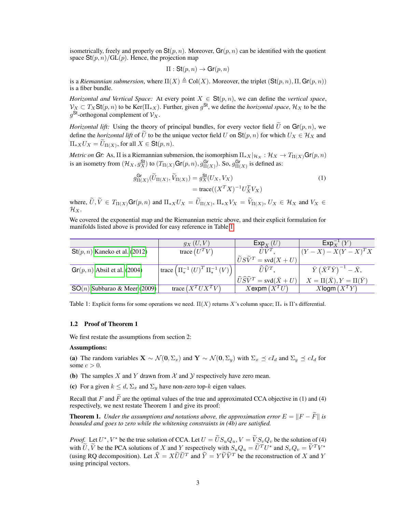isometrically, freely and properly on  $St(p, n)$ . Moreover,  $Gr(p, n)$  can be identified with the quotient space  $\text{St}(p, n) / \text{GL}(p)$ . Hence, the projection map

$$
\Pi : \mathsf{St}(p,n) \to \mathsf{Gr}(p,n)
$$

is a *Riemannian submersion*, where  $\Pi(X) \triangleq Col(X)$ . Moreover, the triplet  $(\text{St}(p, n), \Pi, \text{Gr}(p, n))$ is a fiber bundle.

*Horizontal and Vertical Space:* At every point  $X \in St(p, n)$ , we can define the *vertical space*,  $\mathcal{V}_X \subset T_X$ St $(p, n)$  to be Ker $(\Pi_{*X})$ . Further, given  $g^{\mathsf{St}}$ , we define the *horizontal space*,  $\mathcal{H}_X$  to be the  $g^{\text{St}}$ -orthogonal complement of  $\mathcal{V}_X$ .

*Horizontal lift:* Using the theory of principal bundles, for every vector field  $\tilde{U}$  on  $\mathsf{Gr}(p, n)$ , we define the *horizontal lift* of  $\tilde{U}$  to be the unique vector field U on  $St(p, n)$  for which  $U_X \in \mathcal{H}_X$  and  $\Pi_{*X}U_X = U_{\Pi(X)}$ , for all  $X \in \mathsf{St}(p,n)$ .

*Metric on Gr*: As,  $\Pi$  is a Riemannian submersion, the isomorphism  $\Pi_{*X}|_{\mathcal{H}_X} : \mathcal{H}_X \to T_{\Pi(X)}$ Gr $(p, n)$ is an isometry from  $(\mathcal{H}_X, g_X^{\text{St}})$  to  $(T_{\Pi(X)}\text{Gr}(p,n), g_{\Pi(X)}^{\text{Gr}})$ . So,  $g_{\Pi(X)}^{\text{Gr}}$  is defined as:

$$
g_{\Pi(X)}^{\text{Gr}}(\widetilde{U}_{\Pi(X)}, \widetilde{V}_{\Pi(X)}) = g_X^{\text{St}}(U_X, V_X)
$$
  
= trace $((X^T X)^{-1} U_X^T V_X)$  (1)

where,  $U, V \in T_{\Pi(X)}$ Gr $(p, n)$  and  $\Pi_{*X}U_X = U_{\Pi(X)}$ ,  $\Pi_{*X}V_X = V_{\Pi(X)}$ ,  $U_X \in \mathcal{H}_X$  and  $V_X \in \mathcal{H}_X$  $\mathcal{H}_X$ .

We covered the exponential map and the Riemannian metric above, and their explicit formulation for manifolds listed above is provided for easy reference in Table [1.](#page-2-0)

<span id="page-2-0"></span>

|                                 | $g_X(U,V)$                                                                                             | $\mathsf{Exp}_X(U)$                                                 | $\mathsf{Exp}_{Y}^{-1}(Y)$                    |  |
|---------------------------------|--------------------------------------------------------------------------------------------------------|---------------------------------------------------------------------|-----------------------------------------------|--|
| $St(p, n)$ Kaneko et al. (2012) | trace $(U^T V)$                                                                                        | $\overline{U}\overline{V}^T$                                        | $(Y - X) - X(Y - X)^T X$                      |  |
|                                 |                                                                                                        | $ \widetilde{U}S\widetilde{V}^T=svd(X+U) ^T$                        |                                               |  |
| $Gr(p, n)$ Absil et al. (2004)  | $\left  \text{trace} \left( \Pi_*^{-1} \left( U \right)^T \Pi_*^{-1} \left( V \right) \right) \right $ | $\widehat{U}\widehat{V}^T$ .                                        | $\bar{Y} (\bar{X}^T \bar{Y})^{-1} - \bar{X},$ |  |
|                                 |                                                                                                        | $ \widehat{U}\widehat{S}\widehat{V}^T = \mathrm{svd}(\bar{X} + U) $ | $X=\Pi(\bar{X}), Y=\Pi(\bar{Y})$              |  |
| $SO(n)$ Subbarao & Meer (2009)  | trace $(X^T U X^T V)$                                                                                  | $X$ expm $(X^TU)$                                                   | $X$ logm $(X^T Y)$                            |  |

Table 1: Explicit forms for some operations we need.  $\Pi(X)$  returns X's column space;  $\Pi_*$  is  $\Pi$ 's differential.

## 1.2 Proof of Theorem 1

We first restate the assumptions from section 2:

## Assumptions:

(a) The random variables  $\mathbf{X} \sim \mathcal{N}(\mathbf{0}, \Sigma_x)$  and  $\mathbf{Y} \sim \mathcal{N}(\mathbf{0}, \Sigma_y)$  with  $\Sigma_x \preceq cI_d$  and  $\Sigma_y \preceq cI_d$  for some  $c > 0$ .

(b) The samples X and Y drawn from X and Y respectively have zero mean.

(c) For a given  $k \leq d$ ,  $\Sigma_x$  and  $\Sigma_y$  have non-zero top-k eigen values.

Recall that F and  $\tilde{F}$  are the optimal values of the true and approximated CCA objective in (1) and (4) respectively, we next restate Theorem 1 and give its proof:

<span id="page-2-1"></span>**Theorem 1.** *Under the assumptions and notations above, the approximation error*  $E = ||F - \tilde{F}||$  *is bounded and goes to zero while the whitening constraints in (4b) are satisfied.*

*Proof.* Let  $U^*$ ,  $V^*$  be the true solution of CCA. Let  $U = \tilde{U} S_u Q_u$ ,  $V = \tilde{V} S_v Q_v$  be the solution of (4) with  $\widetilde{U}, \widetilde{V}$  be the PCA solutions of X and Y respectively with  $S_u Q_u = \widetilde{U}^T U^*$  and  $S_v Q_v = \widetilde{V}^T V^*$ (using RQ decomposition). Let  $\hat{X} = X\tilde{U}\tilde{U}^T$  and  $\hat{Y} = Y\tilde{V}\tilde{V}^T$  be the reconstruction of X and Y using principal vectors.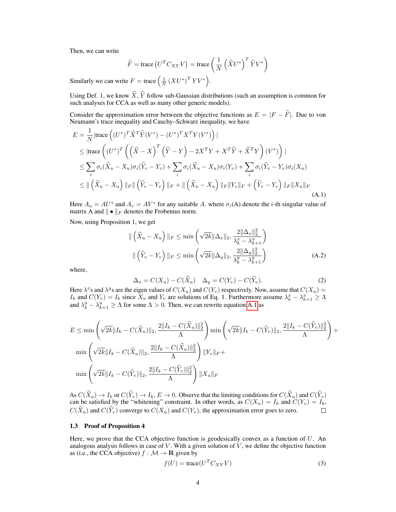Then, we can write

$$
\widetilde{F} = \operatorname{trace} (U^T C_{XY} V) = \operatorname{trace} \left( \frac{1}{N} \left( \widehat{X} U^* \right)^T \widehat{Y} V^* \right)
$$

Similarly we can write  $F = \text{trace} \left( \frac{1}{N} \left( XU^* \right)^T Y V^* \right)$ .

Using Def. 1, we know  $\widehat{X}, \widehat{Y}$  follow sub-Gaussian distributions (such an assumption is common for such analyses for CCA as well as many other generic models).

Consider the approximation error between the objective functions as  $E = |F - \tilde{F}|$ . Due to von Neumann's trace inequality and Cauchy–Schwarz inequality, we have

$$
E = \frac{1}{N} |\text{trace}\left( (U^*)^T \hat{X}^T \hat{Y} (V^*) - (U^*)^T X^T Y (V^*) \right)|
$$
  
\n
$$
\leq |\text{trace}\left( (U^*)^T \left( \left( \hat{X} - X \right)^T \left( \hat{Y} - Y \right) - 2X^T Y + X^T \hat{Y} + \hat{X}^T Y \right) (V^*) \right)|
$$
  
\n
$$
\leq \sum_i \sigma_i (\hat{X}_u - X_u) \sigma_i (\hat{Y}_v - Y_v) + \sum_i \sigma_i (\hat{X}_u - X_u) \sigma_i (Y_v) + \sum_i \sigma_i (\hat{Y}_v - Y_v) \sigma_i (X_u)
$$
  
\n
$$
\leq || (\hat{X}_u - X_u) ||_F || (\hat{Y}_v - Y_v) ||_F + || (\hat{X}_u - X_u) ||_F ||Y_v||_F + (\hat{Y}_v - Y_v) ||_F ||X_u||_F
$$
\n(A.1)

Here  $A_u = AU^*$  and  $A_v = AV^*$  for any suitable A. where  $\sigma_i(A)$  denote the *i*-th singular value of matrix A and  $\|\bullet\|_F$  denotes the Frobenius norm.

Now, using Proposition 1, we get

$$
\| \left( \widehat{X}_u - X_u \right) \|_F \le \min \left( \sqrt{2k} \| \Delta_x \|_2, \frac{2 \| \Delta_x \|_2^2}{\lambda_k^x - \lambda_{k+1}^x} \right)
$$
  

$$
\| \left( \widehat{Y}_v - Y_v \right) \|_F \le \min \left( \sqrt{2k} \| \Delta_y \|_2, \frac{2 \| \Delta_y \|_2^2}{\lambda_k^y - \lambda_{k+1}^y} \right)
$$
(A.2)

where,

$$
\Delta_x = C(X_u) - C(\hat{X}_u) \quad \Delta_y = C(Y_v) - C(\hat{Y}_v).
$$
\n(2)

Here  $\lambda^x$ s and  $\lambda^y$ s are the eigen values of  $C(X_u)$  and  $C(Y_v)$  respectively. Now, assume that  $C(X_u)$  =  $I_k$  and  $C(Y_v) = I_k$  since  $X_u$  and  $Y_v$  are solutions of Eq. 1. Furthermore assume  $\lambda_k^x - \lambda_{k+1}^x \ge \Lambda$ and  $\lambda_k^y - \lambda_{k+1}^y \ge \Lambda$  for some  $\Lambda > 0$ . Then, we can rewrite equation [A.1](#page-2-1) as

$$
E \le \min\left(\sqrt{2k} \|I_k - C(\hat{X}_u)\|_2, \frac{2\|I_k - C(\hat{X}_u)\|_2^2}{\Lambda}\right) \min\left(\sqrt{2k} \|I_k - C(\hat{Y}_v)\|_2, \frac{2\|I_k - C(\hat{Y}_v)\|_2^2}{\Lambda}\right) + \min\left(\sqrt{2k} \|I_k - C(\hat{X}_u)\|_2, \frac{2\|I_k - C(\hat{X}_u)\|_2^2}{\Lambda}\right) \|Y_v\|_F + \min\left(\sqrt{2k} \|I_k - C(\hat{Y}_v)\|_2, \frac{2\|I_k - C(\hat{Y}_v)\|_2^2}{\Lambda}\right) \|X_u\|_F
$$

As  $C(X_u) \to I_k$  or  $C(Y_v) \to I_k$ ,  $E \to 0$ . Observe that the limiting conditions for  $C(X_u)$  and  $C(Y_v)$  can be satisfied by the "whitening" constraint. In other words, as  $C(X_u) = I_k$  and  $C(Y_v) = I_k$ ,  $C(\hat{X}_u)$  and  $C(\hat{Y}_v)$  converge to  $C(X_u)$  and  $C(Y_v)$ , the approximation error goes to zero. П

## 1.3 Proof of Proposition 4

Here, we prove that the CCA objective function is geodesically convex as a function of  $U$ . An analogous analysis follows in case of  $V$ . With a given solution of  $V$ , we define the objective function as (i.e., the CCA objective)  $f : \mathcal{M} \to \mathbf{R}$  given by

$$
f(U) = \text{trace}(U^T C_{XY} V) \tag{3}
$$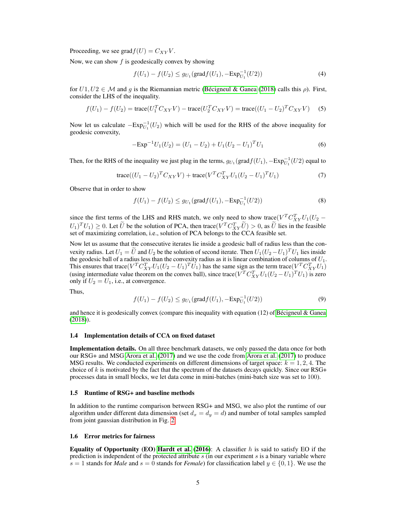Proceeding, we see grad $f(U) = C_{XY}V$ .

Now, we can show  $f$  is geodesically convex by showing

$$
f(U_1) - f(U_2) \le g_{U_1}(\text{grad} f(U_1), -\text{Exp}_{U_1}^{-1}(U_2))
$$
\n(4)

for  $U1, U2 \in \mathcal{M}$  and g is the Riemannian metric [\(Bécigneul & Ganea](#page-6-5) [\(2018\)](#page-6-5) calls this  $\rho$ ). First, consider the LHS of the inequality.

$$
f(U_1) - f(U_2) = \text{trace}(U_1^T C_{XY} V) - \text{trace}(U_2^T C_{XY} V) = \text{trace}((U_1 - U_2)^T C_{XY} V) \tag{5}
$$

Now let us calculate  $-Exp_{U_1}^{-1}(U_2)$  which will be used for the RHS of the above inequality for geodesic convexity,

$$
-\text{Exp}^{-1}U_1(U_2) = (U_1 - U_2) + U_1(U_2 - U_1)^T U_1
$$
\n(6)

Then, for the RHS of the inequality we just plug in the terms,  $g_{U_1}(\text{grad} f(U_1), -\text{Exp}_{U_1}^{-1}(U_2))$  equal to

trace
$$
((U_1 - U_2)^T C_{XY} V)
$$
 + trace $(V^T C_{XY}^T U_1 (U_2 - U_1)^T U_1)$  (7)

Observe that in order to show

$$
f(U_1) - f(U_2) \le g_{U_1}(\text{grad} f(U_1), -\text{Exp}_{U_1}^{-1}(U_2))
$$
\n(8)

since the first terms of the LHS and RHS match, we only need to show trace( $V^T C_{XY}^T U_1 (U_2 (U_1)^T U_1 \geq 0$ . Let  $\tilde{U}$  be the solution of PCA, then trace( $V^T C_{XY}^T \tilde{U} > 0$ , as  $\tilde{U}$  lies in the feasible set of maximizing correlation, i.e., solution of PCA belongs to the CCA feasible set.

Now let us assume that the consecutive iterates lie inside a geodesic ball of radius less than the convexity radius. Let  $U_1 = \tilde{U}$  and  $U_2$  be the solution of second iterate. Then  $U_1 (U_2 - U_1)^T U_1$  lies inside the geodesic ball of a radius less than the convexity radius as it is linear combination of columns of  $U_1$ . This ensures that trace  $(V^T C_{XY}^T U_1 (U_2 - U_1)^T U_1)$  has the same sign as the term trace  $(V^T C_{XY}^T U_1)$ (using intermediate value theorem on the convex ball), since trace( $V^T C_{XY}^T U_1 (U_2 - U_1)^T U_1$ ) is zero only if  $U_2 = U_1$ , i.e., at convergence.

Thus,

$$
f(U_1) - f(U_2) \le g_{U_1}(\text{grad} f(U_1), -\text{Exp}_{U_1}^{-1}(U_2))
$$
\n(9)

and hence it is geodesically convex (compare this inequality with equation (12) of [Bécigneul & Ganea](#page-6-5) [\(2018\)](#page-6-5)).

#### 1.4 Implementation details of CCA on fixed dataset

Implementation details. On all three benchmark datasets, we only passed the data once for both our RSG+ and MSG [Arora et al.](#page-6-6) [\(2017\)](#page-6-6) and we use the code from [Arora et al.](#page-6-6) [\(2017\)](#page-6-6) to produce MSG results. We conducted experiments on different dimensions of target space:  $k = 1, 2, 4$ . The choice of k is motivated by the fact that the spectrum of the datasets decays quickly. Since our RSG+ processes data in small blocks, we let data come in mini-batches (mini-batch size was set to 100).

## 1.5 Runtime of RSG+ and baseline methods

In addition to the runtime comparison between RSG+ and MSG, we also plot the runtime of our algorithm under different data dimension (set  $d_x = d_y = d$ ) and number of total samples sampled from joint gaussian distribution in Fig. [2.](#page-5-0)

## 1.6 Error metrics for fairness

**Equality of Opportunity (EO) [Hardt et al.](#page-6-7) [\(2016\)](#page-6-7):** A classifier h is said to satisfy EO if the prediction is independent of the protected attribute  $s$  (in our experiment  $s$  is a binary variable where s = 1 stands for *Male* and s = 0 stands for *Female*) for classification label  $y \in \{0, 1\}$ . We use the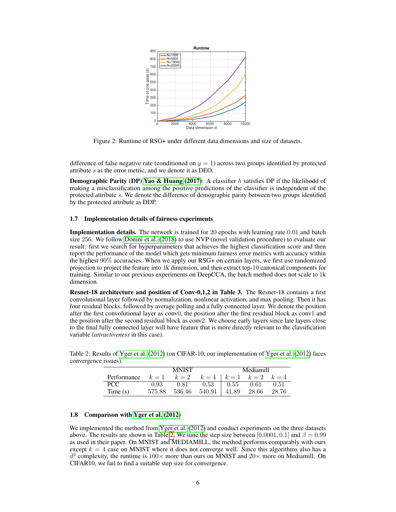<span id="page-5-0"></span>

Figure 2: Runtime of RSG+ under different data dimensions and size of datasets.

difference of false negative rate (conditioned on  $y = 1$ ) across two groups identified by protected attribute s as the error metric, and we denote it as DEO.

**Demographic Parity (DP) [Yao & Huang](#page-6-8) [\(2017\)](#page-6-8):** A classifier  $h$  satisfies DP if the likelihodd of making a misclassification among the positive predictions of the classifier is independent of the protected attribute s. We denote the difference of demographic parity between two groups identified by the protected attribute as DDP.

## 1.7 Implementation details of fairness experiments

Implementation details. The network is trained for 20 epochs with learning rate 0.01 and batch size 256. We follow [Donini et al.](#page-6-9) [\(2018\)](#page-6-9) to use NVP (novel validation procedure) to evaluate our result: first we search for hyperparameters that achieves the highest classification score and then report the performance of the model which gets minimum fairness error metrics with accuracy within the highest 90% accuracies. When we apply our RSG+ on certain layers, we first use randomized projection to project the feature into 1k dimension, and then extract top-10 canonical components for training. Similar to our previous experiments on DeepCCA, the batch method does not scale to 1k dimension.

Resnet-18 architecture and position of Conv-0,1,2 in Table 3. The Resnet-18 contains a first convolutional layer followed by normalization, nonlinear activation, and max pooling. Then it has four residual blocks, followed by average polling and a fully connected layer. We denote the position after the first convolutional layer as conv0, the position after the first residual block as conv1 and the position after the second residual block as conv2. We choose early layers since late layers close to the final fully connected layer will have feature that is more directly relevant to the classification variable (*attractiveness* in this case).

<span id="page-5-1"></span>Table 2: Results of [Yger et al.](#page-6-10) [\(2012\)](#page-6-10) (on CIFAR-10, our implementation of [Yger et al.](#page-6-10) [\(2012\)](#page-6-10) faces convergence issues).

|             | <b>MNIST</b> |        |                           | Mediamill     |       |       |
|-------------|--------------|--------|---------------------------|---------------|-------|-------|
| Performance | $k=1$        | $k=2$  | $k=4$   $k=1$ $k=2$ $k=4$ |               |       |       |
| PCC.        | 0.93         | 0.81   | 0.53                      | $1\quad 0.55$ | 0.61  | 0.51  |
| Time $(s)$  | 575.88       | 536.46 | $540.91$   41.89          |               | 28.66 | 28.76 |

## 1.8 Comparison with [Yger et al.](#page-6-10) [\(2012\)](#page-6-10)

We implemented the method from [Yger et al.](#page-6-10) [\(2012\)](#page-6-10) and conduct experiments on the three datasets above. The results are shown in Table [2.](#page-5-1) We tune the step size between [0.0001, 0.1] and  $\beta = 0.99$ as used in their paper. On MNIST and MEDIAMILL, the method performs comparably with ours except  $k = 4$  case on MNIST where it does not converge well. Since this algorithms also has a  $d^3$  complexity, the runtime is  $100 \times$  more than ours on MNIST and  $20 \times$  more on Mediamill. On CIFAR10, we fail to find a suitable step size for convergence.